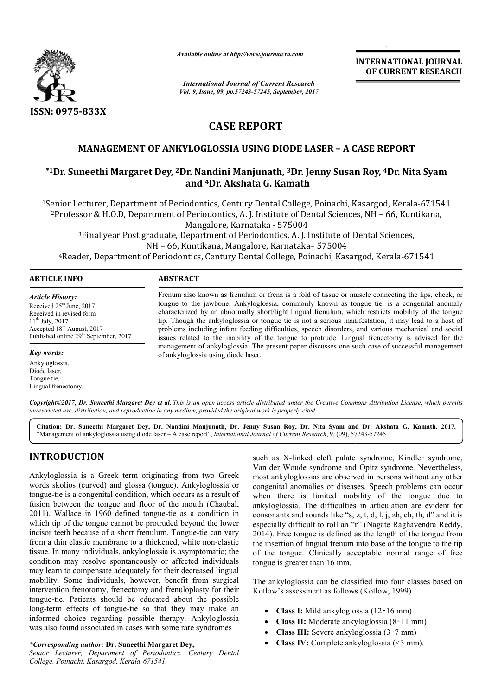

*Available online at http://www.journal http://www.journalcra.com*

*International Journal of Current Research Vol. 9, Issue, 09, pp.57243-57245, September, 2017* **INTERNATIONAL JOURNAL OF CURRENT RESEARCH** 

# **CASE REPORT**

## **MANAGEMENT OF ANKYLOGLOSSIA USING DIODE LASER – A CASE REPORT**

## **\*1Dr. Suneethi Margaret Dey, 2 2Dr. Nandini Manjunath, 3Dr. Jenny Susan Roy, Dr. Jenny Susan 4Dr. Nita Syam and 4Dr. Akshata G. Kamath**

<sup>1</sup>Senior Lecturer, Department of Periodontics, Century Dental College, Poinachi, Kasargod, Kerala-671541 2Professor & H.O.D, Department of Periodontics, A. J. Institute of Dental Sciences, NH Senior Lecturer, Department of Periodontics, Century Dental College<br><sup>2</sup>Professor & H.O.D, Department of Periodontics, A. J. Institute of De<br>Mangalore, Karnataka - 575004 J. Institute of Dental Sciences, NH - 66, Kuntikana,

3Final year Post graduate, Department of Periodontics, A. J. Institute of Dental Sciences, NH – 66, Kuntikana, Mangalore, Karnataka– 575004 <sup>3</sup>Final year Post graduate, Department of Periodontics, A. J. Institute of Dental Sciences,<br>NH – 66, Kuntikana, Mangalore, Karnataka– 575004<br>Reader, Department of Periodontics, Century Dental College, Poinachi, Kasargod,

#### **ARTICLE INFO ABSTRACT**

*Article History:* Received  $25<sup>th</sup>$  June, 2017 Received in revised form  $11^{th}$  July, 2017 Accepted 18<sup>th</sup> August, 2017 Published online 29<sup>th</sup> September, 2017

*Key words:*

Ankyloglossia, Diode laser, Tongue tie, Lingual frenectomy.

Frenum also known as frenulum or frena is a fold of tissue or muscle connecting the lips, cheek, or tongue to the jawbone. Ankyloglossia, commonly known as tongue tie, is a congenital anomaly Frenum also known as frenulum or frena is a fold of tissue or muscle connecting the lips, cheek, or tongue to the jawbone. Ankyloglossia, commonly known as tongue tie, is a congenital anomaly characterized by an abnormally tip. Though the ankyloglossia or tongue tie is not a serious manifestation, it may lead to a host of problems including infant feeding difficulties, speech disorders, and various mechanical and social issues related to the inability of the tongue to protrude. Lingual frenectomy is advised for the management of ankyloglossia. The present paper discusses one such case of successful management of ankyloglossia using diode laser. tip. Though the ankyloglossia or tongue tie is not a serious manifestation, it may lead to a host of problems including infant feeding difficulties, speech disorders, and various mechanical and social issues related to the

Copyright©2017, Dr. Suneethi Margaret Dey et al. This is an open access article distributed under the Creative Commons Attribution License, which permits *unrestricted use, distribution, and reproduction in any medium, provided the original work is properly cited.*

**Citation: Dr. Suneethi Margaret Dey, Dr. Nandini Manjunath, Dr. Jenny Susan Roy, Dr. Nita Syam and Dr. Akshata G. Kamath Nandini Jenny Roy, Dr. Kamath. 2017.**  "Management of ankyloglossia using diode laser - A case report", *International Journal of Current Research*, 9, (09), 57243-57245.

## **INTRODUCTION**

Ankyloglossia is a Greek term originating from two Greek words skolios (curved) and glossa (tongue). Ankyloglossia or tongue-tie is a congenital condition, which occurs as a result of tongue-tie is a congenital condition, which occurs as a result of fusion between the tongue and floor of the mouth (Chaubal, 2011). Wallace in 1960 defined tongue-tie as a condition in which tip of the tongue cannot be protruded beyond the lower incisor teeth because of a short frenulum. Tongue-tie can vary from a thin elastic membrane to a thickened, white non-elastic tissue. In many individuals, ankyloglossia is asymptomatic; the condition may resolve spontaneously or affected individuals may learn to compensate adequately for their decreased lingual mobility. Some individuals, however, benefit from surgical intervention frenotomy, frenectomy and frenuloplasty for their tongue-tie. Patients should be educated about the possible mobility. Some individuals, however, benefit from surgical intervention frenotomy, frenectomy and frenuloplasty for their tongue-tie. Patients should be educated about the possible long-term effects of tongue-tie so that t informed choice regarding possible therapy. Ankyloglossia was also found associated in cases with some rare syndromes tie as a condition in<br>ded beyond the lower<br>Tongue-tie can vary

*Senior Lecturer, Department of Periodontics, Century Dental College, Poinachi, Kasargod, Kerala-671541.*

such as X-linked cleft palate syndrome, Kindler syndrome, Van der Woude syndrome and Opitz syndrome. Nevertheless, most ankyloglossias are observed in persons without any other congenital anomalies or diseases. Speech problems can occur when there is limited mobility of the tongue due to ankyloglossia. The difficulties in articulation are evident for consonants and sounds like "s, z, t, d, l, j, zh, ch, th, d" and it is consonants and sounds like "s, z, t, d, l, j, zh, ch, th, d" and it is especially difficult to roll an "r" (Nagate Raghavendra Reddy, 2014). Free tongue is defined as the length of the tongue from the insertion of lingual frenum into base of the tongue to the tip of the tongue. Clinically acceptable normal range of free tongue is greater than 16 mm. syndrome and Opitz syndrome. Nevertheless,<br>sias are observed in persons without any other<br>alies or diseases. Speech problems can occur<br>limited mobility of the tongue due to rtion of lingual frenum into base of the tongue to the tongue. Clinically acceptable normal range of f s greater than 16 mm.<br>syloglossia can be classified into four classes based is assessment as follows (Kotlow, 1999)

The ankyloglossia can be classified into four classes based on Kotlow's assessment as follows (Kotlow, 1999)

- Class I: Mild ankyloglossia (12-16 mm)
- Class II: Moderate ankyloglossia (8-11 mm)
- Class III: Severe ankyloglossia (3-7 mm)
- **Class IV:** Complete ankyloglossia (<3 mm).

*<sup>\*</sup>Corresponding author:* **Dr. Suneethi Margaret Dey Dey,**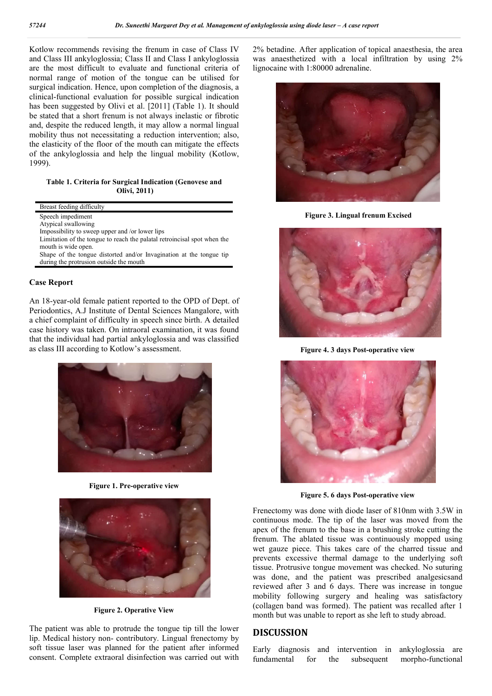Kotlow recommends revising the frenum in case of Class IV and Class III ankyloglossia; Class II and Class I ankyloglossia are the most difficult to evaluate and functional criteria of normal range of motion of the tongue can be utilised for surgical indication. Hence, upon completion of the diagnosis, a clinical-functional evaluation for possible surgical indication has been suggested by Olivi et al. [2011] (Table 1). It should be stated that a short frenum is not always inelastic or fibrotic and, despite the reduced length, it may allow a normal lingual mobility thus not necessitating a reduction intervention; also, the elasticity of the floor of the mouth can mitigate the effects of the ankyloglossia and help the lingual mobility (Kotlow, 1999).

**Table 1. Criteria for Surgical Indication (Genovese and Olivi, 2011)**

|                    | Breast feeding difficulty                                                                                      |
|--------------------|----------------------------------------------------------------------------------------------------------------|
|                    | Speech impediment                                                                                              |
|                    | Atypical swallowing                                                                                            |
|                    | Impossibility to sweep upper and /or lower lips                                                                |
|                    | Limitation of the tongue to reach the palatal retroincisal spot when the<br>mouth is wide open.                |
|                    | Shape of the tongue distorted and/or Invagination at the tongue tip<br>during the protrusion outside the mouth |
|                    |                                                                                                                |
| <b>Case Report</b> |                                                                                                                |

#### **Case Report**

An 18-year-old female patient reported to the OPD of Dept. of Periodontics, A.J Institute of Dental Sciences Mangalore, with a chief complaint of difficulty in speech since birth. A detailed case history was taken. On intraoral examination, it was found that the individual had partial ankyloglossia and was classified as class III according to Kotlow's assessment.



**Figure 1. Pre-operative view**



**Figure 2. Operative View**

The patient was able to protrude the tongue tip till the lower lip. Medical history non- contributory. Lingual frenectomy by soft tissue laser was planned for the patient after informed consent. Complete extraoral disinfection was carried out with 2% betadine. After application of topical anaesthesia, the area was anaesthetized with a local infiltration by using 2% lignocaine with 1:80000 adrenaline.



**Figure 3. Lingual frenum Excised**



**Figure 4. 3 days Post-operative view**



**Figure 5. 6 days Post-operative view**

Frenectomy was done with diode laser of 810nm with 3.5W in continuous mode. The tip of the laser was moved from the apex of the frenum to the base in a brushing stroke cutting the frenum. The ablated tissue was continuously mopped using wet gauze piece. This takes care of the charred tissue and prevents excessive thermal damage to the underlying soft tissue. Protrusive tongue movement was checked. No suturing was done, and the patient was prescribed analgesicsand reviewed after 3 and 6 days. There was increase in tongue mobility following surgery and healing was satisfactory (collagen band was formed). The patient was recalled after 1 month but was unable to report as she left to study abroad.

#### **DISCUSSION**

Early diagnosis and intervention in ankyloglossia are fundamental for the subsequent morpho-functional